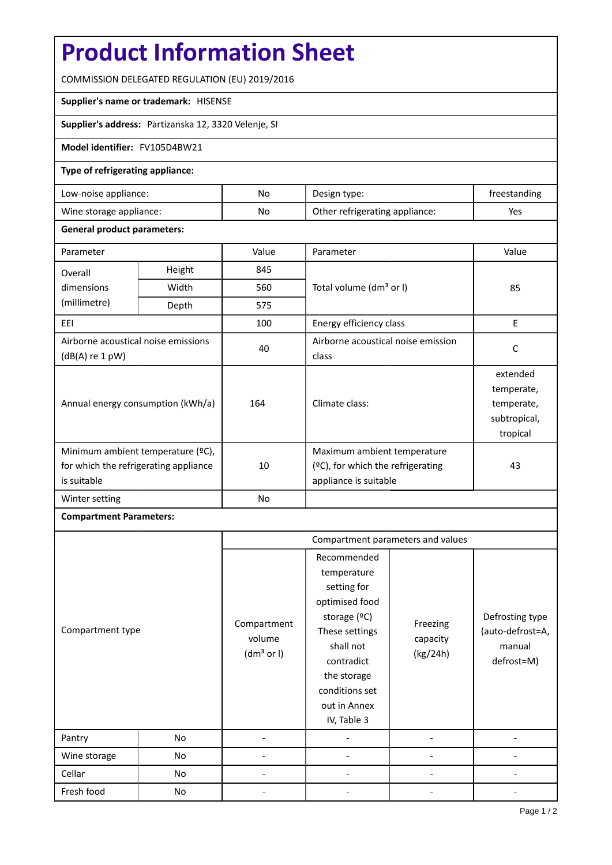# **Product Information Sheet**

COMMISSION DELEGATED REGULATION (EU) 2019/2016

#### **Supplier's name or trademark:** HISENSE

**Supplier's address:** Partizanska 12, 3320 Velenje, SI

## **Model identifier:** FV105D4BW21

### **Type of refrigerating appliance:**

| Low-noise appliance:    | No. | Design type:                   | treestanding |
|-------------------------|-----|--------------------------------|--------------|
| Wine storage appliance: | No  | Other refrigerating appliance: | Yes          |

### **General product parameters:**

| Parameter                                                                                 |        | Value | Parameter                                                                                    | Value                                                            |
|-------------------------------------------------------------------------------------------|--------|-------|----------------------------------------------------------------------------------------------|------------------------------------------------------------------|
| Overall                                                                                   | Height | 845   |                                                                                              | 85                                                               |
| dimensions<br>(millimetre)                                                                | Width  | 560   | Total volume (dm <sup>3</sup> or I)                                                          |                                                                  |
|                                                                                           | Depth  | 575   |                                                                                              |                                                                  |
| EEI                                                                                       |        | 100   | Energy efficiency class                                                                      | E                                                                |
| Airborne acoustical noise emissions<br>$(dB(A)$ re 1 pW)                                  |        | 40    | Airborne acoustical noise emission<br>class                                                  | C                                                                |
| Annual energy consumption (kWh/a)                                                         |        | 164   | Climate class:                                                                               | extended<br>temperate,<br>temperate,<br>subtropical,<br>tropical |
| Minimum ambient temperature (°C),<br>for which the refrigerating appliance<br>is suitable |        | 10    | Maximum ambient temperature<br>$(2C)$ , for which the refrigerating<br>appliance is suitable | 43                                                               |
| Winter setting                                                                            |        | No    |                                                                                              |                                                                  |

## **Compartment Parameters:**

| Compartment type<br>Pantry<br>No |    | Compartment parameters and values               |                                                                                                                                                                                          |                                  |                                                             |
|----------------------------------|----|-------------------------------------------------|------------------------------------------------------------------------------------------------------------------------------------------------------------------------------------------|----------------------------------|-------------------------------------------------------------|
|                                  |    | Compartment<br>volume<br>(dm <sup>3</sup> or I) | Recommended<br>temperature<br>setting for<br>optimised food<br>storage (ºC)<br>These settings<br>shall not<br>contradict<br>the storage<br>conditions set<br>out in Annex<br>IV, Table 3 | Freezing<br>capacity<br>(kg/24h) | Defrosting type<br>(auto-defrost=A,<br>manual<br>defrost=M) |
|                                  |    |                                                 |                                                                                                                                                                                          |                                  |                                                             |
| Wine storage                     | No |                                                 |                                                                                                                                                                                          |                                  |                                                             |
| Cellar                           | No |                                                 |                                                                                                                                                                                          |                                  |                                                             |
| Fresh food                       | No |                                                 |                                                                                                                                                                                          |                                  |                                                             |